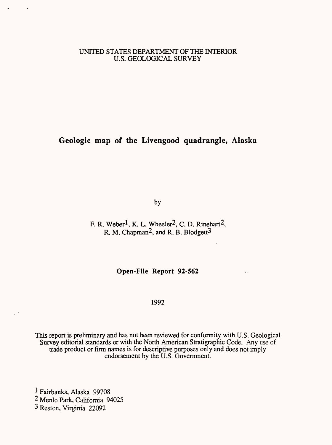# UNITED STATES DEPARTMENT OF THE INTERIOR U.S. GEOLOGICAL SURVEY

**Geologic map of the Livengood quadrangle, Alaska**

by

F. R. Weber<sup>1</sup>, K. L. Wheeler<sup>2</sup>, C. D. Rinehart<sup>2</sup>, R. M. Chapman<sup>2</sup>, and R. B. Blodgett<sup>3</sup>

**Open-File Report 92-562**

# 1992

This report is preliminary and has not been reviewed for conformity with U.S. Geological Survey editorial standards or with the North American Stratigraphic Code. Any use of trade product or firm names is for descriptive purposes only and does not imply endorsement by the U.S. Government.

1 Fairbanks, Alaska 99708 2 Menlo Park, California 94025 3 Reston, Virginia 22092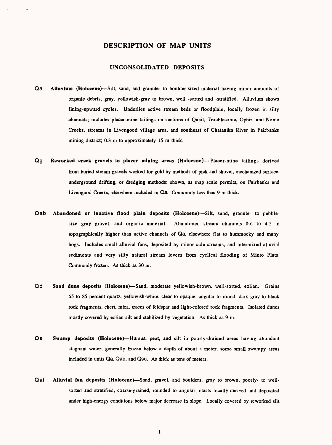# **DESCRIPTION OF MAP UNITS**

### **UNCONSOLIDATED DEPOSITS**

- Qa Alluvium (Holocene)—Silt, sand, and granule- to boulder-sized material having minor amounts of organic debris, gray, yellowish-gray to brown, well -sorted and -stratified. Alluvium shows fining-upward cycles. Underlies active stream beds or floodplain, locally frozen in silty channels; includes placer-mine tailings on sections of Quail, Troublesome, Ophir, and Nome Creeks, streams in Livengood village area, and southeast of Chatanika River in Fairbanks mining district; 0.3 m to approximately 15 m thick.
- Qg Reworked creek gravels in placer mining areas (Holocene)—Placer-mine tailings derived from buried stream gravels worked for gold by methods of pick and shovel, mechanized surface, underground drifting, or dredging methods; shown, as map scale permits, on Fairbanks and Livengood Creeks, elsewhere included in Qa. Commonly less than 9 m thick.
- Qab Abandoned or inactive flood plain deposits (Holocene)-Silt, sand, granule- to pebblesize gray gravel, and organic material. Abandoned stream channels 0.6 to 4.5 m topographically higher than active channels of Qa, elsewhere flat to hummocky and many bogs. Includes small alluvial fans, deposited by minor side streams, and intermixed alluvial sediments and very silty natural stream levees from cyclical flooding of Minto Flats. Commonly frozen. As thick as 30 m.
- Qd Sand dune deposits (Holocene)-Sand, moderate yellowish-brown, well-sorted, eolian. Grains 65 to 85 percent quartz, yellowish-white, clear to opaque, angular to round; dark gray to black rock fragments, chert, mica, traces of feldspar and light-colored rock fragments. Isolated dunes mostly covered by eolian silt and stabilized by vegetation. As thick as 9 m.
- Qs Swamp deposits (Holocene) Humus, peat, and silt in poorly-drained areas having abundant stagnant water; generally frozen below a depth of about a meter; some small swampy areas included in units Qa, Qab, and Qsu. As thick as tens of meters.
- Qaf Alluvial fan deposits (Holocene)—Sand, gravel, and boulders, gray to brown, poorly- to wellsorted and stratified, coarse-grained, rounded to angular; clasts locally-derived and deposited under high-energy conditions below major decrease in slope. Locally covered by reworked silt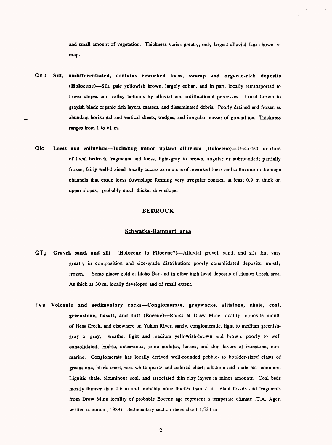and small amount of vegetation. Thickness varies greatly; only largest alluvial fans shown on map.

- Qsu Silt, undifferentiated, contains reworked loess, swamp and organic-rich deposits (Holocene)—Silt, pale yellowish brown, largely eolian, and in part, locally retransported to lower slopes and valley bottoms by alluvial and solifluctional processes. Local brown to grayish black organic rich layers, masses, and disseminated debris. Poorly drained and frozen as abundant horizontal and vertical sheets, wedges, and irregular masses of ground ice. Thickness ranges from 1 to 61 m.
- QIC Loess and colluvium-Including minor upland alluvium (Holocene)--Unsorted mixture of local bedrock fragments and loess, light-gray to brown, angular or subrounded; partially frozen, fairly well-drained, locally occurs as mixture of reworked loess and colluvium in drainage channels that erode loess downslope forming very irregular contact; at least 0.9 m thick on upper slopes, probably much thicker downslope.

#### **BEDROCK**

## **Schwatka-Rampart area**

- QTg Gravel, sand, and silt (Holocene to Pliocene?)--Alluvial gravel, sand, and silt that vary greatly in composition and size-grade distribution; poorly consolidated deposits; mostly frozen. Some placer gold at Idaho Bar and in other high-level deposits of Hunter Creek area. As thick as 30 m, locally developed and of small extent
- TVS Volcanic and sedimentary rocks Conglomerate, graywacke, siltstone, shale, coal, greenstone, basalt, and tuff (Eocene)-Rocks at Drew Mine locality, opposite mouth of Hess Creek, and elsewhere on Yukon River, sandy, conglomeratic, light to medium greenishgray to gray, weather light and medium yellowish-brown and brown, poorly to well consolidated, friable, calcareous, some nodules, lenses, and thin layers of ironstone, nonmarine. Conglomerate has locally derived well-rounded pebble- to boulder-sized clasts of greenstone, black chert, rare white quartz and colored chert; siltstone and shale less common. Lignitic shale, bituminous coal, and associated thin clay layers in minor amounts. Coal beds mostly thinner than 0.6 m and probably none thicker than 2 m. Plant fossils and fragments from Drew Mine locality of probable Eocene age represent a temperate climate (T.A. Ager, written commun., 1989). Sedimentary section there about 1,524 m.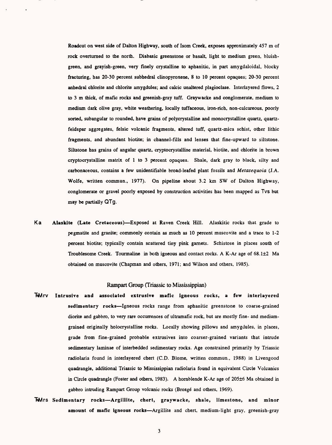Roadcut on west side of Dalton Highway, south of Isom Creek, exposes approximately 457 m of rock overturned to the north. Diabasic greenstone or basalt, light to medium green, bluishgreen, and grayish-green, very finely crystalline to aphanitic, in part amygdaloidal, blocky fracturing, has 20-30 percent subhedral clinopyroxene, 8 to 10 percent opaques; 20-30 percent anhedral chlorite and chlorite amygdules; and calcic unaltered plagioclase. Interlayered flows, 2 to 3 m thick, of mafic rocks and greenish-gray tuff. Graywacke and conglomerate, medium to medium dark olive gray, white weathering, locally tuffaceous, iron-rich, non-calcareous, poorly sorted, subangular to rounded, have grains of polycrystalline and monocrystalline quartz, quartzfeldspar aggregates, felsic volcanic fragments, altered tuff, quartz-mica schist, other lithic fragments, and abundant biotite; in channel-fills and lenses that fine-upward to siltstone. Siltstone has grains of angular quartz, cryptocrystalline material, biotite, and chlorite in brown cryptocrystalline matrix of 1 to 3 percent opaques. Shale, dark gray to black, silty and carbonaceous, contains a few unidentifiable broad-leafed plant fossils and *Metasequoia* (J.A. Wolfe, written commun., 1977). On pipeline about 3.2 km SW of Dalton Highway, conglomerate or gravel poorly exposed by construction activities has been mapped as TVS but may be partially QTg.

Ka **Alaskite (Late Cretaceous)** Exposed at Raven Creek Hill. Alaskitic rocks that grade to pegmatite and granite; commonly contain as much as 10 percent muscovite and a trace to 1-2 percent biotite; typically contain scattered tiny pink garnets. Schistose in places south of Troublesome Creek. Tourmaline in both igneous and contact rocks. A K-Ar age of 68.1±2 Ma obtained on muscovite (Chapman and others, 1971; and Wilson and others, 1985).

#### Rampart Group (Triassic to Mississippian)

- 7\*Mrv **Intrusive and associated extrusive mafic igneous rocks, a few interlayered sedimentary rocks** Igneous rocks range from aphanitic greenstone to coarse-grained diorite and gabbro, to very rare occurrences of ultramafic rock, but are mostly fine- and mediumgrained originally holocrystalline rocks. Locally showing pillows and amygdules, in places, grade from fine-grained probable extrusives into coarser-grained variants that intrude sedimentary laminae of interbedded sedimentary rocks. Age constrained primarily by Triassic radiolaria found in interlayered chert (C.D. Blome, written commun., 1988) in Livengood quadrangle, additional Triassic to Mississippian radiolaria found in equivalent Circle Volcanics in Circle quadrangle (Foster and others, 1983). A hornblende K-Ar age of 205±6 Ma obtained in gabbro intruding Rampart Group volcanic rocks (Brosge and others, 1969).
- 7\*Mrs **Sedimentary rocks Argilllte, chert, graywacke, shale, limestone, and minor**  amount of mafic igneous rocks-Argillite and chert, medium-light gray, greenish-gray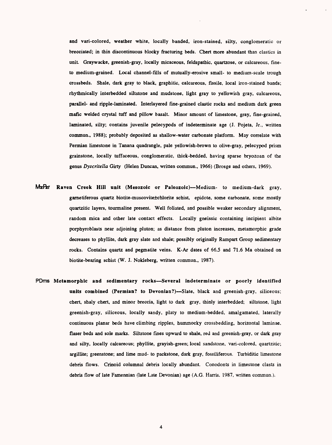and vari-colored, weather white, locally banded, iron-stained, silty, conglomeratic or brecciated; in thin discontinuous blocky fracturing beds. Chert more abundant than elastics in unit Graywacke, greenish-gray, locally micaceous, feldspathic, quartzose, or calcareous, fineto medium-grained. Local channel-fills of mutually-erosive small- to medium-scale trough crossbeds. Shale, dark gray to black, graphitic, calcareous, fissile, local iron-stained bands; rhythmically interbedded siltstone and mudstone, light gray to yellowish gray, calcareous, parallel- and ripple-laminated. Interlayered fine-grained clastic rocks and medium dark green mafic welded crystal tuff and pillow basalt. Minor amount of limestone, gray, fine-grained, laminated, silty; contains juvenile pelecypods of indeterminate age (J. Pojeta, Jr., written commun., 1988); probably deposited as shallow-water carbonate platform. May correlate with Permian limestone in Tanana quadrangle, pale yellowish-brown to olive-gray, pelecypod prism grainstone, locally tuffaceous, conglomeratic, thick-bedded, having sparse bryozoan of the genus *Dyscritella* Girty (Helen Duncan, written commun., 1966) (Brosge and others, 1969).

- MzPzr Raven Creek Hill unit (Mesozoic or Paleozoic)-Medium- to medium-dark gray, garnetiferous quartz biotite-muscovite±chlorite schist, epidote, some carbonate, some mostly quartzitic layers, tourmaline present. Well foliated, and possible weaker secondary alignment, random mica and other late contact effects. Locally gneissic containing incipient albite porphyroblasts near adjoining pluton; as distance from pluton increases, metamorphic grade decreases to phyllite, dark gray slate and shale; possibly originally Rampart Group sedimentary rocks. Contains quartz and pegmatite veins. K-Ar dates of 66.5 and 71.6 Ma obtained on biotite-bearing schist (W. J. Nokleberg, written commun., 1987).
- PDms Metamorphic and sedimentary rocks-Several indeterminate or poorly identified **units combined (Permian? to Devonian?)—Slate, black and greenish-gray, siliceous;** chert, shaly chert, and minor breccia, light to dark gray, thinly interbedded; siltstone, light greenish-gray, siliceous, locally sandy, platy to medium-bedded, amalgamated, laterally continuous planar beds have climbing ripples, hummocky crossbedding, horizontal laminae, flaser beds and sole marks. Siltstone fines upward to shale, red and greenish-gray, or dark gray and silty, locally calcareous; phyllite, grayish-green; local sandstone, vari-colored, quartzicic; argillite; greenstone; and lime mud- to packstone, dark gray, fossiliferous. Turbiditic limestone debris flows. Crinoid columnal debris locally abundant. Conodonts in limestone clasts in debris flow of late Famennian (late Late Devonian) age (A.G. Harris, 1987, written commun.).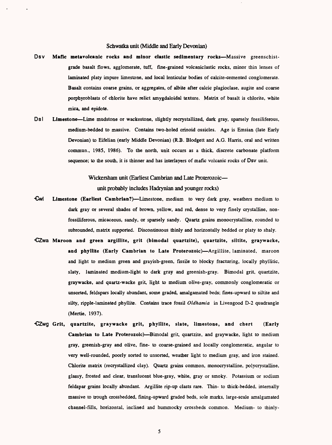#### Schwatka unit (Middle and Early Devonian)

- Dsv Mafic metavolcanic rocks and minor clastic sedimentary rocks—Massive greenschistgrade basalt flows, agglomerate, tuff, fine-grained volcaniclastic rocks, minor thin lenses of laminated platy impure limestone, and local lenticular bodies of calcite-cemented conglomerate. Basalt contains coarse grains, or aggregates, of albite after calcic plagioclase, augite and coarse porphyroblasts of chlorite have relict amygdaloidal texture. Matrix of basalt is chlorite, white mica, and epidote.
- Ds<sup>1</sup> Limestone—Lime mudstone or wackestone, slightly recrystallized, dark gray, sparsely fossiliferous, medium-bedded to massive. Contains two-holed crinoid ossicles. Age is Emsian (late Early Devonian) to Eifelian (early Middle Devonian) (R.B. Blodgett and A.G. Harris, oral and written commun., 1985, 1986). To the north, unit occurs as a thick, discrete carbonate platform sequence; to the south, it is thinner and has interlayers of mafic volcanic rocks of Dsv unit.

Wickersham unit (Earliest Cambrian and Late Proterozoic unit probably includes Hadrynian and younger rocks)

- Owl **Limestone (Earliest Cambrian?)** Limestone, medium to very dark gray, weathers medium to dark gray or several shades of brown, yellow, and red, dense to very finely crystalline, nonfossiliferous, micaceous, sandy, or sparsely sandy. Quartz grains monocrystalline, rounded to subrounded, matrix supported. Discontinuous thinly and horizontally bedded or platy to shaly.
- CZwa **Maroon and green argillite, grit (bimodal quartzite), quartzite, siltite, graywacke,**  and phyllite (Early Cambrian to Late Proterozoic)—Argillite, laminated, maroon and light to medium green and grayish-green, fissile to blocky fracturing, locally phyllitic, slaty, laminated medium-light to dark gray and greenish-gray. Bimodal grit, quartzite, graywacke, and quartz-wacke grit, light to medium olive-gray, commonly conglomeratic or unsorted, feldspars locally abundant, some graded, amalgamated beds; fines-upward to siltite and silty, ripple-laminated phyllite. Contains trace fossil *Oldhamia* in Livengood D-2 quadrangle (Mertie, 1937).
- CZwg **Grit, quartzite, graywacke grit, phyllite, slate, limestone, and chert (Early Cambrian to Late Proterozoic)—Bimodal grit, quartzite, and graywacke, light to medium** gray, greenish-gray and olive, fine- to coarse-grained and locally conglomeratic, angular to very well-rounded, poorly sorted to unsorted, weather light to medium gray, and iron stained. Chlorite matrix (recrystallized clay). Quartz grains common, monocrystalline, polycrystalline, glassy, frosted and clear, translucent blue-gray, white, gray or smoky. Potassium or sodium feldspar grains locally abundant. Argillite rip-up clasts rare. Thin- to thick-bedded, internally massive to trough crossbedded, fining-upward graded beds, sole marks, large-scale amalgamated channel-fills, horizontal, inclined and hummocky crossbeds common. Medium- to thinly-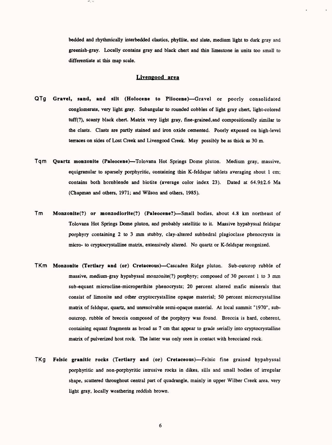bedded and rhythmically interbedded elastics, phyllite, and slate, medium light to dark gray and greenish-gray. Locally contains gray and black chert and thin limestone in units too small to differentiate at this map scale.

#### **Livengood area**

- QTg **Gravel, sand, and silt (Holocene to Pliocene)** Gravel or poorly consolidated conglomerate, very light gray. Subangular to rounded cobbles of light gray chert, light-colored tuff(?), scanty black chert. Matrix very light gray, fine-grained,and compositionally similar to the clasts. Clasts are partly stained and iron oxide cemented. Poorly exposed on high-level terraces on sides of Lost Creek and Livengood Creek. May possibly be as thick as 30 m.
- Tqm Quartz monzonite (Paleocene)—Tolovana Hot Springs Dome pluton. Medium gray, massive, equigranular to sparsely porphyritic, containing thin K-feldspar tablets averaging about 1 cm; contains both hornblende and biotite (average color index 23). Dated at 64.9±2.6 Ma (Chapman and others, 1971; and Wilson and others, 1985).
- Tm Monzonite(?) or monzodiorite(?) (Paleocene?)—Small bodies, about 4.8 km northeast of Tolovana Hot Springs Dome pluton, and probably satellitic to it Massive hypabyssal feldspar porphyry containing 2 to 3 mm stubby, clay-altered subhedral plagioclase phenocrysts in micro- to cryptocrystalline matrix, extensively altered. No quartz or K-feldspar recognized.
- TKm Monzonite (Tertiary and (or) Cretaceous)—Cascaden Ridge pluton. Sub-outcrop rubble of massive, medium-gray hypabyssal monzonite(?) porphyry; composed of 30 percent 1 to 3 mm sub-equant microcline-microperthite phenocrysts; 20 percent altered mafic minerals that consist of limonite and other cryptocrystalline opaque material; 50 percent microcrystalline matrix of feldspar, quartz, and unresolvable semi-opaque material. At local summit "1970", suboutcrop, rubble of breccia composed of the porphyry was found. Breccia is hard, coherent, containing equant fragments as broad as 7 cm that appear to grade serially into cryptocrystalline matrix of pulverized host rock. The latter was only seen in contact with brecciated rock.
- TKg Felsic granitic rocks (Tertiary and (or) Cretaceous)-Felsic fine grained hypabyssal porphyritic and non-porphyritic intrusive rocks in dikes, sills and small bodies of irregular shape, scattered throughout central part of quadrangle, mainly in upper Wilber Creek area, very light gray, locally weathering reddish brown.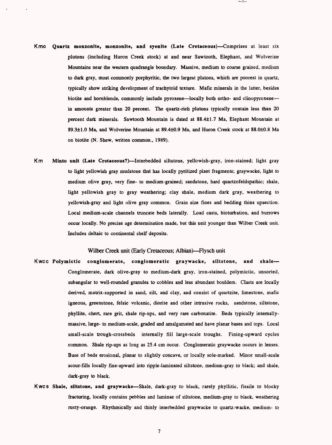- Kmo **Quartz monzonite, monzonite, and syenite (Late Cretaceous)--Comprises at least six** plutons (including Huron Creek stock) at and near Sawtooth, Elephant, and Wolverine Mountains near the western quadrangle boundary. Massive, medium to coarse grained, medium to dark gray, most commonly porphyritic, the two largest plutons, which are poorest in quartz, typically show striking development of trachytoid texture. Mafic minerals in the latter, besides biotite and hornblende, commonly include pyroxene—locally both ortho- and clinopyroxene in amounts greater than 20 percent. The quartz-rich plutons typically contain less than 20 percent dark minerals. Sawtooth Mountain is dated at 88.4±1.7 Ma, Elephant Mountain at 89.3±1.0 Ma, and Wolverine Mountain at 89.4±0.9 Ma, and Huron Creek stock at 88.0±0.8 Ma on biotite (N. Shew, written commun., 1989).
- Km Minto unit (Late Cretaceous?)--Interbedded siltstone, yellowish-gray, iron-stained; light gray to light yellowish gray mudstone that has locally pyritized plant fragments; graywacke, light to medium olive gray, very fine- to medium-grained; sandstone, hard quartzofeldspathic; shale, light yellowish gray to gray weathering; clay shale, medium dark gray, weathering to yellowish-gray and light olive gray common. Grain size fines and bedding thins upsection. Local medium-scale channels truncate beds laterally. Load casts, bioturbation, and burrows occur locally. No precise age determination made, but this unit younger than Wilber Creek unit. Includes deltaic to continental shelf deposits.

Wilber Creek unit (Early Cretaceous; Albian)—Flysch unit

- Kwcc Polymictic conglomerate, conglomeratic graywacke, siltstone, and shale Conglomerate, dark olive-gray to medium-dark gray, iron-stained, polymictic, unsorted, sub angular to well-rounded granules to cobbles and less abundant boulders. Clasts are locally derived, matrix-supported in sand, silt, and clay, and consist of quartzite, limestone, mafic igneous, greenstone, felsic volcanic, diorite and other intrusive rocks, sandstone, siltstone, phyllite, chert, rare grit, shale rip-ups, and very rare carbonatite. Beds typically internallymassive, large- to medium-scale, graded and amalgamated and have planar bases and tops. Local small-scale trough-crossbeds internally fill large-scale troughs. Fining-upward cycles common. Shale rip-ups as long as 25.4 cm occur. Conglomeratic graywacke occurs in lenses. Base of beds erosional, planar to slightly concave, or locally sole-marked. Minor small-scale scour-fills locally fine-upward into ripple-laminated siltstone, medium-gray to black; and shale, dark-gray to black.
- Kwcs Shale, siltstone, and graywacke-Shale, dark-gray to black, rarely phyllitic, fissile to blocky fracturing, locally contains pebbles and laminae of siltstone, medium-gray to black, weathering rusty-orange. Rhythmically and thinly interbedded graywacke to quartz-wacke, medium- to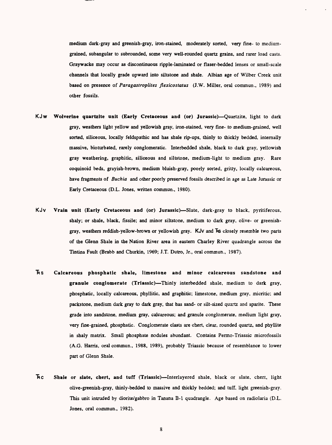medium dark-gray and greenish-gray, iron-stained, moderately sorted, very fine- to mediumgrained, subangular to subrounded, some very well-rounded quartz grains, and rarer load casts. Graywacke may occur as discontinuous ripple-laminated or flaser-bedded lenses or small-scale channels that locally grade upward into siltstone and shale. Albian age of Wilber Creek unit based on presence of *Paragastroplites flexicostatus* (J.W. Miller, oral commun., 1989) and other fossils.

- KJw Wolverine quartzite unit (Early Cretaceous and (or) Jurassic)—Quartzite, light to dark gray, weathers light yellow and yellowish gray, iron-stained, very fine- to medium-grained, well sorted, siliceous, locally feldspathic and has shale rip-ups, thinly to thickly bedded, internally massive, bioturbated, rarely conglomeratic. Interbedded shale, black to dark gray, yellowish gray weathering, graphitic, siliceous and siltstone, medium-light to medium gray. Rare coquinoid beds, grayish-brown, medium bluish-gray, poorly sorted, gritty, locally calcareous, have fragments of *Buchia* and other poorly preserved fossils described in age as Late Jurassic or Early Cretaceous (D.L. Jones, written commun., 1980).
- KJv Vrain unit (Early Cretaceous and (or) Jurassic)-Slate, dark-gray to black, pyritiferous, shaly; or shale, black, fissile; and minor siltstone, medium to dark gray, olive- or greenishgray, weathers reddish-yellow-brown or yellowish gray. KJv and Fs closely resemble two parts of the Glenn Shale in the Nation River area in eastern Charley River quadrangle across the Tintina Fault (Brabb and Churkin, 1969; J.T. Dutro, Jr., oral commun., 1987).
- ^S Calcareous phosphatic shale, limestone and minor calcareous sandstone and granule conglomerate (Triassic)—Thinly interbedded shale, medium to dark gray, phosphatic, locally calcareous, phyllitic, and graphitic; limestone, medium gray, micritic; and packs tone, medium dark gray to dark gray, that has sand- or silt-sized quartz and sparite. These grade into sandstone, medium gray, calcareous; and granule conglomerate, medium light gray, very fine-grained, phosphatic. Conglomerate clasts are chert, clear, rounded quartz, and phyllite in shaly matrix. Small phosphate nodules abundant. Contains Permo-Triassic microfossils (A.G. Harris, oral commun., 1988, 1989), probably Triassic because of resemblance to lower part of Glenn Shale.
- Hc Shale or slate, chert, and tuff (Triassic)-Interlayered shale, black or slate, chert, light olive-greenish-gray, thinly-bedded to massive and thickly bedded; and tuff, light greenish-gray. This unit intruded by diorite/gabbro in Tanana B-l quadrangle. Age based on radiolaria (D.L. Jones, oral commun., 1982).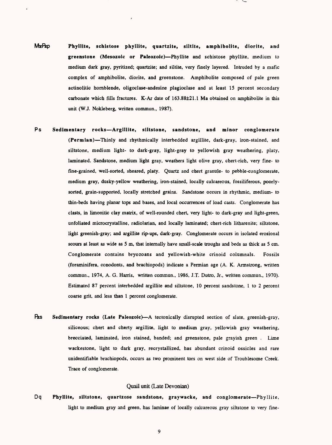- MzFfep **Phyllite, schistose phyllite, quartzite, siltite, amphibolite, diorite, and greenstone (Mesozoic or Paleozoic)** Phyllite and schistose phyllite, medium to medium dark gray, pyritized; quartzite; and siltite, very finely layered. Intruded by a mafic complex of amphibolite, diorite, and greenstone. Amphibolite composed of pale green actinolitic hornblende, oligoclase-andesine plagioclase and at least IS percent secondary carbonate which fills fractures. K-Ar date of 163.88±21.1 Ma obtained on amphibolite in this unit (WJ. Nokleberg, written commun., 1987).
- Ps **Sedimentary rocks Argiliite, siltstone, sandstone, and minor conglomerate (Permian)** Thinly and rhythmically interbedded argillite, dark-gray, iron-stained, and siltstone, medium light- to dark-gray, light-gray to yellowish gray weathering, platy, laminated. Sandstone, medium light gray, weathers light olive gray, chert-rich, very fine- to fine-grained, well-sorted, sheared, platy. Quartz and chert granule- to pebble-conglomerate, medium gray, dusky-yellow weathering, iron-stained, locally calcareous, fossiliferous, poorlysorted, grain-supported, locally stretched grains. Sandstone occurs in rhythmic, medium- to thin-beds having planar tops and bases, and local occurrences of load casts. Conglomerate has clasts, in limonitic clay matrix, of well-rounded chert, very light- to dark-gray and light-green, unfoliated microcrystalline, radiolarian, and locally laminated; chert-rich litharenite; siltstone, light greenish-gray; and argillite rip-ups, dark-gray. Conglomerate occurs in isolated erosional scours at least as wide as 5 m, that internally have small-scale troughs and beds as thick as 5 cm. Conglomerate contains bryozoans and yellowish-white crinoid columnals. Fossils (foraminifera, conodonts, and brachiopods) indicate a Permian age (A. K. Armstrong, written commun., 1974, A. G. Harris, written commun., 1986, J.T. Dutro, Jr., written commun., 1970). Estimated 87 percent interbedded argillite and siltstone, 10 percent sandstone, 1 to 2 percent coarse grit, and less than 1 percent conglomerate.
- Pzs Sedimentary rocks (Late Paleozoic)—A tectonically disrupted section of slate, greenish-gray, siliceous; chert and cherty argillite, light to medium gray, yellowish gray weathering, brecciated, laminated, iron stained, banded; and greenstone, pale grayish green . Lime wackestone, light to dark gray, recrystallized, has abundant crinoid ossicles and rare unidentifiable brachiopods, occurs as two prominent tors on west side of Troublesome Creek. Trace of conglomerate.

### Quail unit (Late Devonian)

Dq **Phyllite, siltstone, quartzose sandstone, graywacke, and conglomerate** Phyllite, light to medium gray and green, has laminae of locally calcareous gray siltstone to very fine-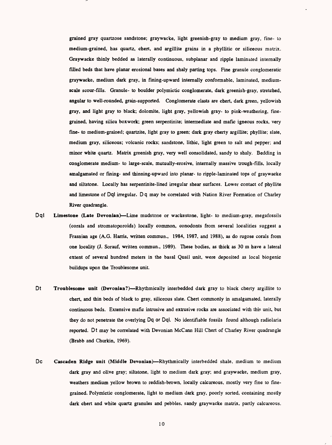grained gray quartzose sandstone; graywacke, light greenisb-gray to medium gray, fine- to medium-grained, bas quartz, cbert, and argillite grains in a pbyllitic or siliceous matrix. Graywacke thinly bedded as laterally continuous, subplanar and ripple laminated internally filled beds that bave planar erosional bases and shaly parting tops. Fine granule conglomeratic graywacke, medium dark gray, in fining-upward internally conformable, laminated, mediumscale scour-fills. Granule- to boulder polymictic conglomerate, dark greenisb-gray, stretched, angular to well-rounded, grain-supported. Conglomerate clasts are cbert, dark green, yellowish gray, and light gray to black; dolomite, light gray, yellowish gray- to pink-weathering, finegrained, having silica boxwork; green serpentinite; intermediate and mafic igneous rocks, very fine- to medium-grained; quartzite, light gray to green; dark gray cberty argillite; phyllite; slate, medium gray, siliceous; volcanic rocks; sandstone, litbic, light green to salt and pepper; and minor white quartz. Matrix greenish gray, very well consolidated, sandy to sbaly. Bedding in conglomerate medium- to large-scale, mutually-erosive, internally massive trough-fills, locally amalgamated or fining- and thinning-upward into planar- to ripple-laminated tops of graywacke and siltstone. Locally has serpentinite-lined irregular shear surfaces. Lower contact of pbyllite and limestone of Dql irregular. Dq may be correlated with Nation River Formation of Charley River quadrangle.

- Dql Limestone (Late Devonian)—Lime mudstone or wackestone, light- to medium-gray, megafossils (corals and stromatoporoids) locally common, conodonts from several localities suggest a Frasnian age (A.G. Harris, written commun., 1984, 1987, and 1988), as do rugose corals from one locality (J. Sorauf, written commun., 1989). These bodies, as thick as 30 m have a lateral extent of several hundred meters in the basal Quail unit, were deposited as local biogenic buildups upon the Troublesome unit.
- Dt Troublesome unit (Devonian?)—Rhythmically interbedded dark gray to black cherty argillite to chert, and thin beds of black to gray, siliceous slate. Cbert commonly in amalgamated, laterally continuous beds. Extensive mafic intrusive and extrusive rocks are associated with this unit, but they do not penetrate the overlying Dq or Dql. No identifiable fossils found although radiolaria reported. Dt may be correlated with Devonian McCann Hill Chert of Charley River quadrangle (Brabb and Churkin, 1969).
- Dc Cascaden Ridge unit (Middle Devonian)—Rhythmically interbedded shale, medium to medium dark gray and olive gray; siltstone, light to medium dark gray; and graywacke, medium gray, weathers medium yellow brown to reddish-brown, locally calcareous, mostly very fine to finegrained. Polymictic conglomerate, light to medium dark gray, poorly sorted, containing mostly dark chert and white quartz granules and pebbles, sandy graywacke matrix, partly calcareous.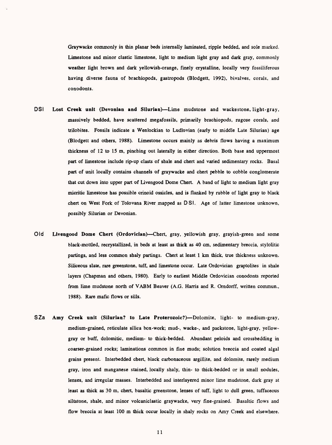Graywacke commonly in thin planar beds internally laminated, ripple bedded, and sole marked. Limestone and minor clastic limestone, light to medium light gray and dark gray, commonly weather light brown and dark yellowish-orange, finely crystalline, locally very fossiliferous having diverse fauna of brachiopods, gastropods (Blodgett, 1992), bivalves, corals, and conodonts.

- DSI **Lost Creek unit (Devonian and Silurian)** Lime mudstone and wackestone, light-gray, massively bedded, have scattered megafossils, primarily brachiopods, rugose corals, and trilobites. Fossils indicate a Wenlockian to Ludlovian (early to middle Late Silurian) age (Blodgett and others, 1988). Limestone occurs mainly as debris flows having a maximum thickness of 12 to 15 m, pinching out laterally in either direction. Both base and uppermost part of limestone include rip-up clasts of shale and chert and varied sedimentary rocks. Basal part of unit locally contains channels of graywacke and chert pebble to cobble conglomerate that cut down into upper part of Livengood Dome Chert. A band of light to medium light gray micritic limestone has possible crinoid ossicles, and is flanked by rubble of light gray to black chert on West Fork of Tolovana River mapped as DSI. Age of latter limestone unknown, possibly Silurian or Devonian.
- Old **Livengood Dome Chert (Ordovician)** Chert, gray, yellowish gray, grayish-green and some black-mottled, recrystallized, in beds at least as thick as 40 cm, sedimentary breccia, stylolitic partings, and less common shaly partings. Chert at least 1 km thick, true thickness unknown. Siliceous slate, rare greenstone, tuff, and limestone occur. Late Ordovician graptolites in shale layers (Chapman and others, 1980). Early to earliest Middle Ordovician conodonts reported from lime mudstone north of VABM Beaver (A.G. Harris and R. Orndorff, written commun., 1988). Rare mafic flows or sills.
- SZa Amy Creek unit (Silurian? to Late Proterozoic?)—Dolomite, light- to medium-gray, medium-grained, reticulate silica box-work; mud-, wacke-, and packstone, light-gray, yellowgray or buff, dolomitic, medium- to thick-bedded. Abundant peloids and crossbedding in coarser-grained rocks; laminations common in fine muds; solution breccia and coated algal grains present. Interbedded chert, black carbonaceous argillite, and dolomite, rarely medium gray, iron and manganese stained, locally shaly, thin- to thick-bedded or in small nodules, lenses, and irregular masses. Interbedded and interlayered minor lime mudstone, dark gray at least as thick as 30 m, chert, basaltic greenstone, lenses of tuff, light to dull green, tuffaceous siltstone, shale, and minor volcaniclastic graywacke, very fine-grained. Basaltic flows and flow breccia at least 100 m thick occur locally in shaly rocks on Amy Creek and elsewhere.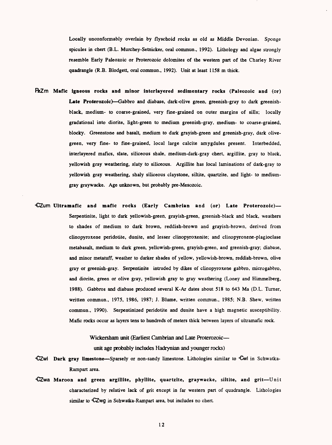Locally unconfonnably overlain by flyschoid rocks as old as Middle Devonian. Sponge spicules in chert (B.L. Murchey-Setnicker, oral commun., 1992). Lithology and algae strongly resemble Early Paleozoic or Proterozoic dolomites of the western part of the Charley River quadrangle (R.B. Blodgett, oral commun., 1992). Unit at least 1158 m thick.

- **Mafic igneous rocks and minor interlayered sedimentary rocks (Paleozoic and** (or) Late Proterozoic)—Gabbro and diabase, dark-olive green, greenish-gray to dark greenishblack, medium- to coarse-grained, very fine-grained on outer margins of sills; locally gradational into diorite, light-green to medium greenish-gray, medium- to coarse-grained, blocky. Greenstone and basalt, medium to dark grayish-green and greenish-gray, dark olivegreen, very fine- to fine-grained, local large calcite amygdules present. Interbedded, interlayered mafics, slate, siliceous shale, medium-dark-gray chert, argillite, gray to black, yellowish gray weathering, slaty to siliceous. Argillite has local laminations of dark-gray to yellowish gray weathering, shaly siliceous claystone, siltite, quartzite, and light- to mediumgray graywacke. Age unknown, but probably pre-Mesozoic.
- CZum **Ultramafic and mafic rocks (Early Cambrian and** (or) **Late Proterozoic)**  Serpentinite, light to dark yellowish-green, grayish-green, greenish-black and black, weathers to shades of medium to dark brown, reddish-brown and grayish-brown, derived from clinopyroxene peridotite, dunite, and lesser clinopyroxenite; and clinopyroxene-plagioclase metabasalt, medium to dark green, yellowish-green, grayish-green, and greenish-gray; diabase, and minor metatuff, weather to darker shades of yellow, yellowish-brown, reddish-brown, olive gray or greenish-gray. Serpentinite intruded by dikes of clinopyroxene gabbro, microgabbro, and diorite, green or olive gray, yellowish gray to gray weathering (Loney and Himmelberg, 1988). Gabbros and diabase produced several K-Ar dates about 518 to 643 Ma (D.L. Turner, written commun., 1975, 1986, 1987; J. Blume, written commun., 1985; N.B. Shew, written commun., 1990). Serpentinized peridotite and dunite have a high magnetic susceptibility. Mafic rocks occur as layers tens to hundreds of meters thick between layers of ultramafic rock.

Wickersham unit (Earliest Cambrian and Late Proterozoic unit age probably includes Hadrynian and younger rocks)

- CZwl Dark gray limestone-Sparsely or non-sandy limestone. Lithologies similar to Owl in Schwatka-Rampart area.
- CZwa Maroon and green argillite, phyllite, quartzite, graywacke, siltite, and grit-Unit characterized by relative lack of grit except in far western part of quadrangle. Lithologies similar to  $-$ CZwg in Schwatka-Rampart area, but includes no chert.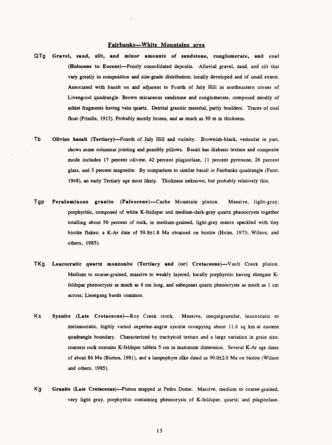### **Fairbanks White Mountains area**

- QTg Gravel, sand, silt, and minor amounts of sandstone, conglomerate, and coal (Holocene to Eocene)-Poorly consolidated deposits. Alluvial gravel, sand, and silt that vary greatly in composition and size-grade distribution; locally developed and of small extent. Associated with basalt on and adjacent to Fourth of July Hill in southeastern corner of Livengood quadrangle. Brown micaceous sandstone and conglomerate, composed mostly of schist fragments having vein quartz. Detrital granitic material, partly boulders. Traces of coal float (Prindle, 1913). Probably mostly frozen, and as much as 30 m in thickness.
- Tb Olivine basalt (Tertiary) Fourth of July Hill and vicinity. Brownish-black, vesicular in part, shows some columnar jointing and possibly pillows. Basalt has diabasic texture and composite mode includes 17 percent olivine, 42 percent plagioclase, 11 percent pyroxene, 26 percent glass, and 3 percent magnetite. By comparison to similar basalt in Fairbanks quadrangle (Furst, 1968), an early Tertiary age most likely. Thickness unknown, but probably relatively thin.
- Tgp Peraluminous granite (Paleocene) Cache Mountain pluton. Massive, light-gray, porphyritic, composed of white K-feldspar and medium-dark-gray quartz phenocrysts together totalling about 50 percent of rock, in medium-grained, light-gray matrix speckled with tiny biotite flakes; a K-Ar date of 59.8±1.8 Ma obtained on biotite (Holm, 1973; Wilson, and others, 1985).
- TKg Leucocratic quartz monzonite (Tertiary and (or) Cretaceous)—Vault Creek pluton. Medium to coarse-grained, massive to weakly layered, locally porphyritic having elongate Kfeldspar phenocrysts as much as 6 cm long, and subequant quartz phenocrysts as much as 1 cm across; Liesegang bands common.
- Ks Syenite (Late Cretaceous)-Roy Creek stock. Massive, inequigranular, leucocratic to melanocratic, highly varied aegerine-augite syenite occupying about 11.6 sq km at eastern quadrangle boundary. Characterized by trachytoid texture and a large variation in grain size; coarsest rock contains K-feldspar tablets 5 cm in maximum dimension. Several K-Ar age dates of about 86 Ma (Burton, 1981), and a lampophyre dike dated as  $90.0\pm2.0$  Ma on biotite (Wilson and others, 1985).
- Kg Granite (Late Cretaceous)—Pluton mapped at Pedro Dome. Massive, medium to coarse-grained, very light gray, porphyritic containing phenocrysts of K-feldspar, quartz, and plagioclase.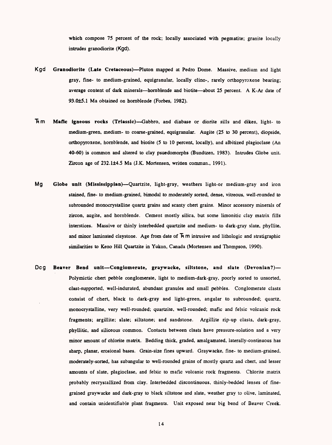which compose 75 percent of the rock; locally associated with pegmatite; granite locally intrudes granodiorite (Kgd).

- Kgd **Granodiorite (Late Cretaceous)** Pluton mapped at Pedro Dome. Massive, medium and light gray, fine- to medium-grained, equigranular, locally clino-, rarely orthopyroxene bearing; average content of dark minerals—hornblende and biotite—about 25 percent. A K-Ar date of 93.0±5.1 Ma obtained on hornblende (Forbes, 1982).
- **"fcm Mafic igneous rocks (Triassic)** Gabbro, and diabase or diorite sills and dikes, light- to medium-green, medium- to coarse-grained, equigranular. Augite (25 to 30 percent), diopside, orthopyroxene, hornblende, and biotite (5 to 10 percent, locally), and albitized plagioclase (An 40-60) is common and altered to clay psuedomorphs (Bundtzen, 1983). Intrudes Globe unit. Zircon age of 232.1±4.5 Ma (J.K. Mortensen, written commun., 1991).
- Mg **Globe unit (Mississippian)** Quartzite, light-gray, weathers light-or medium-gray and iron stained, fine- to medium-grained, bimodal to moderately sorted, dense, vitreous, well-rounded to subrounded monocrystalline quartz grains and scanty chert grains. Minor accessory minerals of zircon, augite, and hornblende. Cement mostly silica, but some limonitic clay matrix fills interstices. Massive or thinly interbedded quartzite and medium- to dark-gray slate, phyllite, and minor laminated claystone. Age from date of  $\overline{R}$  m intrusive and lithologic and stratigraphic similarities to Keno Hill Quartzite in Yukon, Canada (Mortensen and Thompson, 1990).
- Dcg Beaver Bend unit-Conglomerate, graywacke, siltstone, and slate (Devonian?)-Polymictic chert pebble conglomerate, light to medium-dark-gray, poorly sorted to unsorted, clast-supported. well-indurated, abundant granules and small pebbles. Conglomerate clasts consist of chert, black to dark-gray and light-green, angular to subrounded; quartz, monocrystalline, very well-rounded; quartzite, well-rounded; mafic and felsic volcanic rock fragments; argillite; slate; siltstone; and sandstone. Argillite rip-up clasts, dark-gray, phyllitic, and siliceous common. Contacts between clasts have pressure-solution and a very minor amount of chlorite matrix. Bedding thick, graded, amalgamated, laterally-continuous has sharp, planar, erosional bases. Grain-size fines upward. Graywacke, fine- to medium-grained, moderately-sorted, has subangular to well-rounded grains of mostly quartz and chert, and lesser amounts of slate, plagioclase, and felsic to mafic volcanic rock fragments. Chlorite matrix probably recrystallized from clay. Interbedded discontinuous, thinly-bedded lenses of finegrained graywacke and dark-gray to black siltstone and slate, weather gray to olive, laminated, and contain unidentifiable plant fragments. Unit exposed near big bend of Beaver Creek.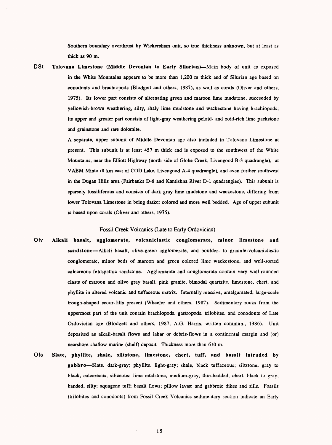Southern boundary overthrust by Wickersham unit, so true thickness unknown, but at least as thick as 90 m.

DSt **Tolovana Limestone (Middle Devonian to Early Silurian)** Main body of unit as exposed in the White Mountains appears to be more than 1,200 m thick and of Silurian age based on conodonts and brachiopods (Blodgett and others, 1987), as well as corals (Oliver and others, 1975). Its lower part consists of alternating green and maroon lime mudstone, succeeded by yellowish-brown weathering, silty, shaly lime mudstone and wackestone having brachiopods; its upper and greater part consists of light-gray weathering peloid- and ooid-rich lime packstone and grainstone and rare dolomite.

> A separate, upper subunit of Middle Devonian age also included in Tolovana Limestone at present. This subunit is at least 457 m thick and is exposed to the southwest of the White Mountains, near the Elliott Highway (north side of Globe Creek, Livengood B-3 quadrangle), at VABM Minto (8 km east of COD Lake, Livengood A-4 quadrangle), and even further southwest in the Dugan Hills area (Fairbanks D-6 and Kantishna River D-l quadrangles). This subunit is sparsely fossiliferous and consists of dark gray lime mudstone and wackestone, differing from lower Tolovana Limestone in being darker colored and more well bedded. Age of upper subunit is based upon corals (Oliver and others, 1975).

#### Fossil Creek Volcanics (Late to Early Ordovician)

- Ofv **Alkali basalt, agglomerate, volcaniclastic conglomerate, minor limestone and**  sandstone-Alkali basalt, olive-green agglomerate, and boulder- to granule-volcaniclastic conglomerate, minor beds of maroon and green colored lime wackestone, and well-sorted calcareous feldspathic sandstone. Agglomerate and conglomerate contain very well-rounded clasts of maroon and olive gray basalt, pink granite, bimodal quartzite, limestone, chert, and phyllite in altered volcanic and tuffaceous matrix. Internally massive, amalgamated, large-scale trough-shaped scour-fills present (Wheeler and others, 1987). Sedimentary rocks from the uppermost part of the unit contain brachiopods, gastropods, trilobites, and conodonts of Late Ordovician age (Blodgett and others, 1987; A.G. Harris, written commun., 1986). Unit deposited as alkali-basalt flows and lahar or debris-flows in a continental margin and (or) nearshore shallow marine (shelf) deposit. Thickness more than 610 m.
- Ofs **Slate, phyllite, shale, siltstone, limestone, chert, tuff, and basalt intruded by**  gabbro-Slate, dark-gray; phyllite, light-gray; shale, black tuffaceous; siltstone, gray to black, calcareous, siliceous; lime mudstone, medium-gray, thin-bedded; chert, black to gray, banded, silty; aquagene tuff; basalt flows; pillow lavas; and gabbroic dikes and sills. Fossils (trilobites and conodonts) from Fossil Creek Volcanics sedimentary section indicate an Early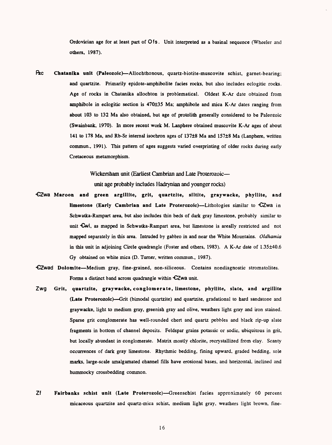Ordovician age for at least part of Ofs. Unit interpreted as a basinal sequence (Wheeler and others, 1987).

fee Chatanika unit (Paleozoic) Allochthonous, quartz-biotite-muscovite schist, garnet-bearing; and quartzite. Primarily epidote-amphibolite facies rocks, but also includes eclogitic rocks. Age of rocks in Chatanika allochton is problematical. Oldest K-Ar date obtained from ampoibole in eclogitic section is 470±3S Ma; amphibole and mica K-Ar dates ranging from about 103 to 132 Ma also obtained, but age of protolith generally considered to be Paleozoic (Swainbank, 1970). In more recent work M. Lanphere obtained muscovite K-Ar ages of about 141 to 178 Ma, and Rb-Sr internal isochron ages of 137±8 Ma and 157±8 Ma (Lanphere, written commun., 1991). This pattern of ages suggests varied overprinting of older rocks during early Cretaceous metamorphism.

> Wickersham unit (Earliest Cambrian and Late Proterozoic unit age probably includes Hadrynian and younger rocks)

- CZwa Maroon and green argillite, grit, quartzite, siltite, graywacke, phyllite, and limestone (Early Cambrian and Late Proterozoic)—Lithologies similar to CZwa in Schwatka-Rampart area, but also includes thin beds of dark gray limestone, probably similar to unit Ewl, as mapped in Schwatka-Rampart area, but limestone is areally restricted and not mapped separately in this area. Intruded by gabbro in and near the White Mountains. *Oldhamia*  in this unit in adjoining Circle quadrangle (Foster and others, 1983). A K-Ar date of  $1.35\pm40.6$ Gy obtained on white mica (D. Turner, written commun., 1987).
- CZwad Dolomite-Medium gray, fine-grained, non-siliceous. Contains nondiagnostic stromatolites. Forms a distinct band across quadrangle within  $CZwa$  unit.
- Zwg Grit, quartzite, graywacke, conglomerate, limestone, phyllite, slate, and argillite (Late Proterozoic)—Grit (bimodal quartzite) and quartzite, gradational to hard sandstone and graywacke, light to medium gray, greenish gray and olive, weathers light gray and iron stained. Sparse grit conglomerate has well-rounded chert and quartz pebbles and black rip-up slate fragments in bottom of channel deposits. Feldspar grains potassic or sodic, ubiquitous in grit, but locally abundant in conglomerate. Matrix mostly chlorite, recrystallized from clay. Scanty occurrences of dark gray limestone. Rhythmic bedding, fining upward, graded bedding, sole marks, large-scale amalgamated channel fills have erosional bases, and horizontal, inclined and hummocky crossbedding common.
- Zf Fairbanks schist unit (Late Proterozoic)—Greenschist facies approximately 60 percent micaceous quartzite and quartz-mica schist, medium light gray, weathers light brown, fine-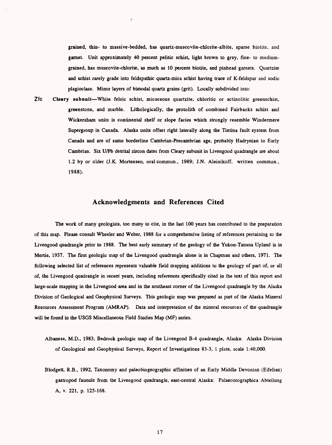grained, thin- to massive-bedded, has quartz-muscovite-chlorite-albite, sparse biotite. and garnet. Unit approximately 40 percent pelitic schist, light brown to gray, fine- to mediumgrained, has muscovite-chlorite, as much as 10 percent biotite, and pinhead garnets. Quartzite and schist rarely grade into feldspathic quartz-mica schist having trace of K-feldspar and sodic plagioclase. Minor layers of bimodal quartz grains (grit). Locally subdivided into:

**Zfc Cleary subunit** White felsic schist, micaceous quartzite, chloritic or actinolitic greenschist, greenstone, and marble. Lithologically, the protolith of combined Fairbanks schist and Wickersham units is continental shelf or slope facies which strongly resemble Windermere Supergroup in Canada. Alaska units offset right laterally along the Tintina fault system from Canada and are of same borderline Cambrian-Precambrian age, probably Hadrynian to Early Cambrian. Six U/Pb detrital zircon dates from Cleary subunit in Livengood quadrangle are about 1.2 by or older (J.K. Mortensen, oralcommun., 1989; J.N. Aleinikoff, written commun., 1988).

 $\lambda$ 

# **Acknowledgments and References Cited**

The work of many geologists, too many to cite, in the last 100 years has contributed to the preparation of this map. Please consult Wheeler and Weber, 1988 for a comprehensive listing of references pertaining to the Livengood quadrangle prior to 1988. The best early summary of the geology of the Yukon-Tanana Upland is in Mertie, 1937. The first geologic map of the Livengood quadrangle alone is in Chapman and others, 1971. The following selected list of references represents valuable field mapping additions to the geology of part of, or all of, the Livengood quadrangle in recent years, including references specifically cited in the text of this report and large-scale mapping in the Livengood area and in the southeast corner of the Livengood quadrangle by the Alaska Division of Geological and Geophysical Surveys. This geologic map was prepared as part of the Alaska Mineral Resources Assessment Program (AMRAP). Data and interpretation of the mineral resources of the quadrangle will be found in the USGS Miscellaneous Field Studies Map (MF) series.

Albanese, M.D., 1983, Bedrock geologic map of the Livengood B-4 quadrangle, Alaska: Alaska Division of Geological and Geophysical Surveys, Report of Investigations 83-3, 1 plate, scale 1:40,000.

Blodgett, R.B., 1992, Taxonomy and paleobiogeographic affinities of an Early Middle Devonian (Eifelian) gastropod faunule from the Livengood quadrangle, east-central Alaska: Palaeontographica Abteilung A, v. 221, p. 125-168.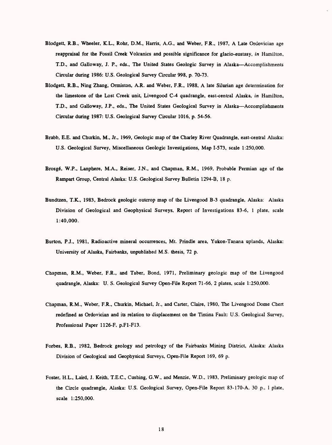- Blodgett, R.B., Wheeler, K.L., Rohr, D.M., Harris, A.G., and Weber, F.R., 1987, A Late Ordovician age reappraisal for the Fossil Creek Volcanics and possible significance for glacio-eustasy, *in* Hamilton, T.D., and Galloway, J. P., eds., The United States Geologic Survey in Alaska--Accomplishments Circular during 1986: U.S. Geological Survey Circular 998, p. 70-73.
- Blodgett, R.B., Ning Zhang, Ormiston, A.R. and Weber, F.R., 1988, A late Silurian age determination for the limestone of the Lost Creek unit, Livengood C-4 quadrangle, east-central Alaska, *in* Hamilton, T.D., and Galloway, J.P., eds., The United States Geological Survey in Alaska--Accomplishments Circular during 1987: U.S. Geological Survey Circular 1016, p. 54-56.
- Brabb, E.E. and Churkin, M., Jr., 1969, Geologic map of the Charley River Quadrangle, east-central Alaska: U.S. Geological Survey, Miscellaneous Geologic Investigations, Map 1-573, scale 1:250,000.
- Brosg6, W.P., Lanphere, M.A., Reiser, J.N., and Chapman, R.M., 1969, Probable Permian age of the Rampart Group, Central Alaska: U.S. Geological Survey Bulletin 1294-B, 18 p.
- Bundtzen, T.K., 1983, Bedrock geologic outcrop map of the Livengood B-3 quadrangle, Alaska: Alaska Division of Geological and Geophysical Surveys, Report of Investigations 83-6, 1 plate, scale 1:40,000.
- Burton, P.J., 1981, Radioactive mineral occurrences, Mt. Prindle area, Yukon-Tanana uplands, Alaska: University of Alaska, Fairbanks, unpublished M.S. thesis, 72 p.
- Chapman, R.M., Weber, F.R., and Taber, Bond, 1971, Preliminary geologic map of the Livengood quadrangle, Alaska: U. S. Geological Survey Open-File Report 71-66, 2 plates, scale 1:250,000.
- Chapman, R.M., Weber, F.R., Churkin, Michael, Jr., and Carter, Claire, 1980, The Livengood Dome Chert redefined as Ordovician and its relation to displacement on the Tintina Fault: U.S. Geological Survey, Professional Paper 1126-F, p.Fl-F13.
- Forbes, R.B., 1982, Bedrock geology and petrology of the Fairbanks Mining District, Alaska: Alaska Division of Geological and Geophysical Surveys, Open-File Report 169, 69 p.
- Foster, H.L., Laird, J. Keith, T.E.C., Gushing, G.W., and Menzie, W.D., 1983, Preliminary geologic map of the Circle quadrangle, Alaska: U.S. Geological Survey, Open-File Report 83-170-A. 30 p., 1 plate, scale 1:250,000.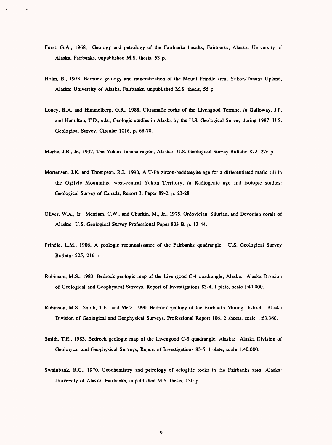- Furst, G.A., 1968, Geology and petrology of the Fairbanks basalts, Fairbanks, Alaska: University of Alaska, Fairbanks, unpublished M.S. thesis, 53 p.
- Holm, B., 1973, Bedrock geology and mineralization of the Mount Prindle area, Yukon-Tanana Upland, Alaska: University of Alaska, Fairbanks, unpublished M.S. thesis, 55 p.
- Loney, R.A. and Himmelberg, G.R., 1988, Ultramafic rocks of the Livengood Terrane, *in* Galloway, J.P. and Hamilton, T.D., eds., Geologic studies in Alaska by the U.S. Geological Survey during 1987: U.S. Geological Survey, Circular 1016, p. 68-70.
- Mertie, J.B., Jr., 1937, The Yukon-Tanana region, Alaska: U.S. Geological Survey Bulletin 872, 276 p.
- Mortensen, J.K. and Thompson, R.I., 1990, A U-Pb zircon-baddeleyite age for a differentiated mafic sill in the Ogilvie Mountains, west-central Yukon Territory, *in* Radiogenic age and isotopic studies: Geological Survey of Canada, Report 3, Paper 89-2, p. 23-28.
- Oliver, W.A., Jr. Merriam, C.W., and Churkin, M., Jr., 1975, Ordovician, Silurian, and Devonian corals of Alaska: U.S. Geological Survey Professional Paper 823-B, p. 13-44.
- Prindle, L.M., 1906, A geologic reconnaissance of the Fairbanks quadrangle: U.S. Geological Survey Bulletin 525, 216 p.
- Robinson, M.S., 1983, Bedrock geologic map of the Livengood C-4 quadrangle, Alaska: Alaska Division of Geological and Geophysical Surveys, Report of Investigations 83-4, 1 plate, scale 1:40,000.
- Robinson, M.S., Smith, T.E., and Metz, 1990, Bedrock geology of the Fairbanks Mining District: Alaska Division of Geological and Geophysical Surveys, Professional Report 106, 2 sheets, scale 1:63,360.
- Smith, T.E., 1983, Bedrock geologic map of the Livengood C-3 quadrangle, Alaska: Alaska Division of Geological and Geophysical Surveys, Report of Investigations 83-5, 1 plate, scale 1:40,000.
- Swainbank, R.C., 1970, Geochemistry and petrology of eclogitic rocks in the Fairbanks area, Alaska: University of Alaska, Fairbanks, unpublished M.S. thesis, 130 p.